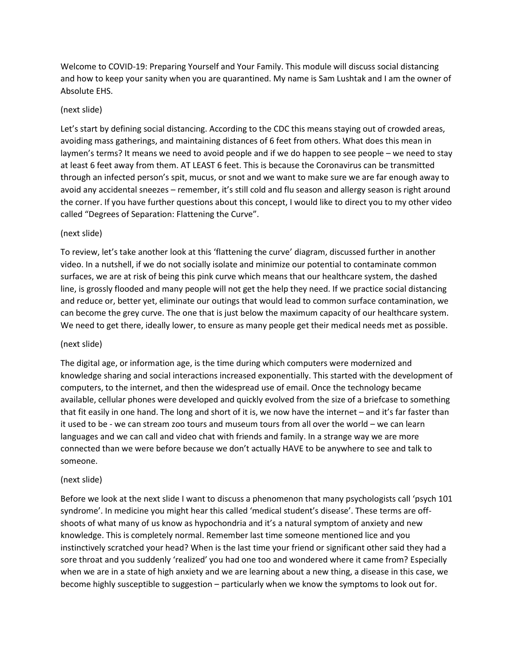Welcome to COVID-19: Preparing Yourself and Your Family. This module will discuss social distancing and how to keep your sanity when you are quarantined. My name is Sam Lushtak and I am the owner of Absolute EHS.

# (next slide)

Let's start by defining social distancing. According to the CDC this means staying out of crowded areas, avoiding mass gatherings, and maintaining distances of 6 feet from others. What does this mean in laymen's terms? It means we need to avoid people and if we do happen to see people – we need to stay at least 6 feet away from them. AT LEAST 6 feet. This is because the Coronavirus can be transmitted through an infected person's spit, mucus, or snot and we want to make sure we are far enough away to avoid any accidental sneezes – remember, it's still cold and flu season and allergy season is right around the corner. If you have further questions about this concept, I would like to direct you to my other video called "Degrees of Separation: Flattening the Curve".

# (next slide)

To review, let's take another look at this 'flattening the curve' diagram, discussed further in another video. In a nutshell, if we do not socially isolate and minimize our potential to contaminate common surfaces, we are at risk of being this pink curve which means that our healthcare system, the dashed line, is grossly flooded and many people will not get the help they need. If we practice social distancing and reduce or, better yet, eliminate our outings that would lead to common surface contamination, we can become the grey curve. The one that is just below the maximum capacity of our healthcare system. We need to get there, ideally lower, to ensure as many people get their medical needs met as possible.

### (next slide)

The digital age, or information age, is the time during which computers were modernized and knowledge sharing and social interactions increased exponentially. This started with the development of computers, to the internet, and then the widespread use of email. Once the technology became available, cellular phones were developed and quickly evolved from the size of a briefcase to something that fit easily in one hand. The long and short of it is, we now have the internet – and it's far faster than it used to be - we can stream zoo tours and museum tours from all over the world – we can learn languages and we can call and video chat with friends and family. In a strange way we are more connected than we were before because we don't actually HAVE to be anywhere to see and talk to someone.

### (next slide)

Before we look at the next slide I want to discuss a phenomenon that many psychologists call 'psych 101 syndrome'. In medicine you might hear this called 'medical student's disease'. These terms are offshoots of what many of us know as hypochondria and it's a natural symptom of anxiety and new knowledge. This is completely normal. Remember last time someone mentioned lice and you instinctively scratched your head? When is the last time your friend or significant other said they had a sore throat and you suddenly 'realized' you had one too and wondered where it came from? Especially when we are in a state of high anxiety and we are learning about a new thing, a disease in this case, we become highly susceptible to suggestion – particularly when we know the symptoms to look out for.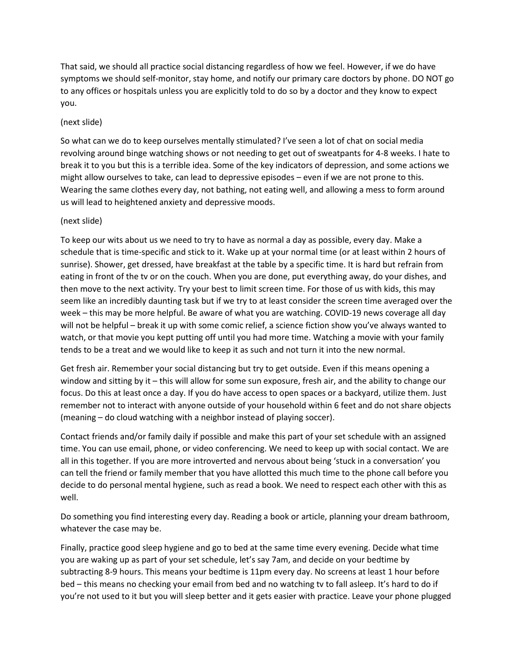That said, we should all practice social distancing regardless of how we feel. However, if we do have symptoms we should self-monitor, stay home, and notify our primary care doctors by phone. DO NOT go to any offices or hospitals unless you are explicitly told to do so by a doctor and they know to expect you.

# (next slide)

So what can we do to keep ourselves mentally stimulated? I've seen a lot of chat on social media revolving around binge watching shows or not needing to get out of sweatpants for 4-8 weeks. I hate to break it to you but this is a terrible idea. Some of the key indicators of depression, and some actions we might allow ourselves to take, can lead to depressive episodes – even if we are not prone to this. Wearing the same clothes every day, not bathing, not eating well, and allowing a mess to form around us will lead to heightened anxiety and depressive moods.

### (next slide)

To keep our wits about us we need to try to have as normal a day as possible, every day. Make a schedule that is time-specific and stick to it. Wake up at your normal time (or at least within 2 hours of sunrise). Shower, get dressed, have breakfast at the table by a specific time. It is hard but refrain from eating in front of the tv or on the couch. When you are done, put everything away, do your dishes, and then move to the next activity. Try your best to limit screen time. For those of us with kids, this may seem like an incredibly daunting task but if we try to at least consider the screen time averaged over the week – this may be more helpful. Be aware of what you are watching. COVID-19 news coverage all day will not be helpful – break it up with some comic relief, a science fiction show you've always wanted to watch, or that movie you kept putting off until you had more time. Watching a movie with your family tends to be a treat and we would like to keep it as such and not turn it into the new normal.

Get fresh air. Remember your social distancing but try to get outside. Even if this means opening a window and sitting by it – this will allow for some sun exposure, fresh air, and the ability to change our focus. Do this at least once a day. If you do have access to open spaces or a backyard, utilize them. Just remember not to interact with anyone outside of your household within 6 feet and do not share objects (meaning – do cloud watching with a neighbor instead of playing soccer).

Contact friends and/or family daily if possible and make this part of your set schedule with an assigned time. You can use email, phone, or video conferencing. We need to keep up with social contact. We are all in this together. If you are more introverted and nervous about being 'stuck in a conversation' you can tell the friend or family member that you have allotted this much time to the phone call before you decide to do personal mental hygiene, such as read a book. We need to respect each other with this as well.

Do something you find interesting every day. Reading a book or article, planning your dream bathroom, whatever the case may be.

Finally, practice good sleep hygiene and go to bed at the same time every evening. Decide what time you are waking up as part of your set schedule, let's say 7am, and decide on your bedtime by subtracting 8-9 hours. This means your bedtime is 11pm every day. No screens at least 1 hour before bed – this means no checking your email from bed and no watching tv to fall asleep. It's hard to do if you're not used to it but you will sleep better and it gets easier with practice. Leave your phone plugged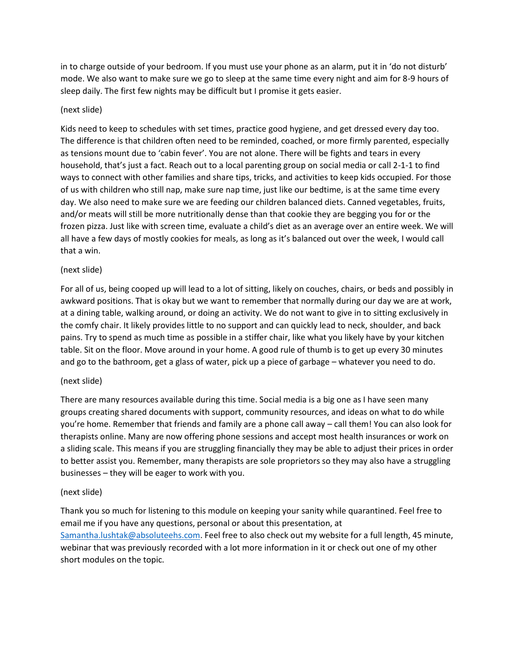in to charge outside of your bedroom. If you must use your phone as an alarm, put it in 'do not disturb' mode. We also want to make sure we go to sleep at the same time every night and aim for 8-9 hours of sleep daily. The first few nights may be difficult but I promise it gets easier.

## (next slide)

Kids need to keep to schedules with set times, practice good hygiene, and get dressed every day too. The difference is that children often need to be reminded, coached, or more firmly parented, especially as tensions mount due to 'cabin fever'. You are not alone. There will be fights and tears in every household, that's just a fact. Reach out to a local parenting group on social media or call 2-1-1 to find ways to connect with other families and share tips, tricks, and activities to keep kids occupied. For those of us with children who still nap, make sure nap time, just like our bedtime, is at the same time every day. We also need to make sure we are feeding our children balanced diets. Canned vegetables, fruits, and/or meats will still be more nutritionally dense than that cookie they are begging you for or the frozen pizza. Just like with screen time, evaluate a child's diet as an average over an entire week. We will all have a few days of mostly cookies for meals, as long as it's balanced out over the week, I would call that a win.

### (next slide)

For all of us, being cooped up will lead to a lot of sitting, likely on couches, chairs, or beds and possibly in awkward positions. That is okay but we want to remember that normally during our day we are at work, at a dining table, walking around, or doing an activity. We do not want to give in to sitting exclusively in the comfy chair. It likely provides little to no support and can quickly lead to neck, shoulder, and back pains. Try to spend as much time as possible in a stiffer chair, like what you likely have by your kitchen table. Sit on the floor. Move around in your home. A good rule of thumb is to get up every 30 minutes and go to the bathroom, get a glass of water, pick up a piece of garbage – whatever you need to do.

### (next slide)

There are many resources available during this time. Social media is a big one as I have seen many groups creating shared documents with support, community resources, and ideas on what to do while you're home. Remember that friends and family are a phone call away – call them! You can also look for therapists online. Many are now offering phone sessions and accept most health insurances or work on a sliding scale. This means if you are struggling financially they may be able to adjust their prices in order to better assist you. Remember, many therapists are sole proprietors so they may also have a struggling businesses – they will be eager to work with you.

### (next slide)

Thank you so much for listening to this module on keeping your sanity while quarantined. Feel free to email me if you have any questions, personal or about this presentation, at [Samantha.lushtak@absoluteehs.com.](mailto:Samantha.lushtak@absoluteehs.com) Feel free to also check out my website for a full length, 45 minute, webinar that was previously recorded with a lot more information in it or check out one of my other short modules on the topic.